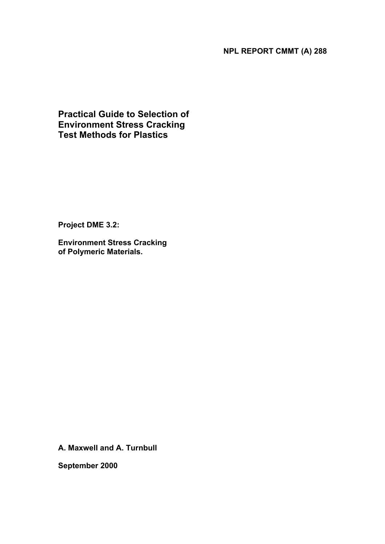### **NPL REPORT CMMT (A) 288**

**Practical Guide to Selection of Environment Stress Cracking Test Methods for Plastics** 

**Project DME 3.2:** 

**Environment Stress Cracking of Polymeric Materials.** 

**A. Maxwell and A. Turnbull** 

**September 2000**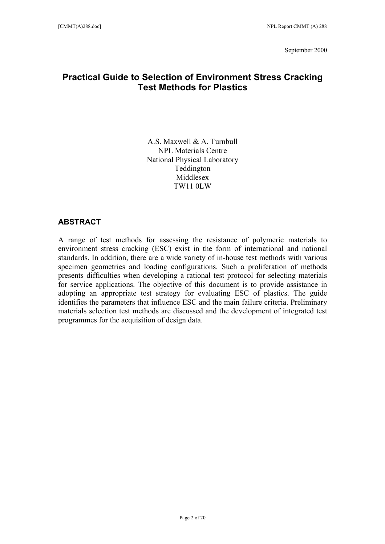### **Practical Guide to Selection of Environment Stress Cracking Test Methods for Plastics**

#### A.S. Maxwell & A. Turnbull NPL Materials Centre National Physical Laboratory Teddington Middlesex TW11 0LW

#### **ABSTRACT**

A range of test methods for assessing the resistance of polymeric materials to environment stress cracking (ESC) exist in the form of international and national standards. In addition, there are a wide variety of in-house test methods with various specimen geometries and loading configurations. Such a proliferation of methods presents difficulties when developing a rational test protocol for selecting materials for service applications. The objective of this document is to provide assistance in adopting an appropriate test strategy for evaluating ESC of plastics. The guide identifies the parameters that influence ESC and the main failure criteria. Preliminary materials selection test methods are discussed and the development of integrated test programmes for the acquisition of design data.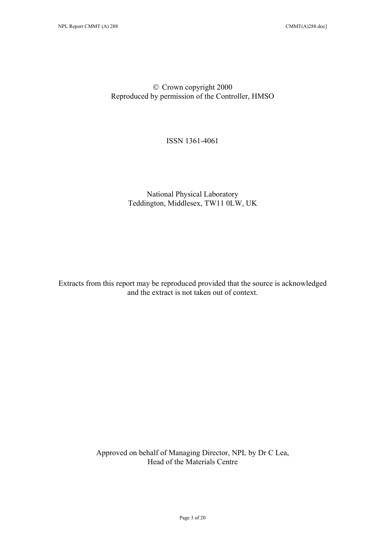#### Crown copyright 2000 Reproduced by permission of the Controller, HMSO

ISSN 1361-4061

#### National Physical Laboratory Teddington, Middlesex, TW11 0LW, UK

Extracts from this report may be reproduced provided that the source is acknowledged and the extract is not taken out of context.

> Approved on behalf of Managing Director, NPL by Dr C Lea, Head of the Materials Centre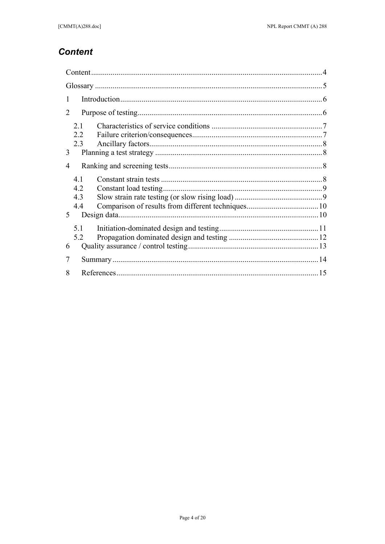# **Content**

| 1 |                         |  |  |
|---|-------------------------|--|--|
| 2 |                         |  |  |
| 3 | 2.1<br>2.2<br>23        |  |  |
| 4 |                         |  |  |
|   | 41<br>4.2<br>4.3<br>4.4 |  |  |
| 5 | Design data             |  |  |
| 6 | 5.1<br>5.2              |  |  |
| 7 |                         |  |  |
| 8 |                         |  |  |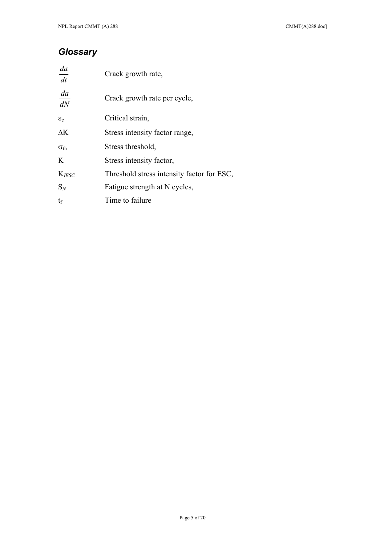# *Glossary*

| $\frac{da}{a}$<br>$\bar{dt}$ | Crack growth rate,                         |
|------------------------------|--------------------------------------------|
| $\frac{da}{a}$<br>dN         | Crack growth rate per cycle,               |
| $\varepsilon_{\rm c}$        | Critical strain,                           |
| ΔΚ                           | Stress intensity factor range,             |
| $\sigma_{\textup{th}}$       | Stress threshold,                          |
| K                            | Stress intensity factor,                   |
| $\mathrm{K}_{IESC}$          | Threshold stress intensity factor for ESC, |
| $\mathrm{S}_N$               | Fatigue strength at N cycles,              |
| tf                           | Time to failure                            |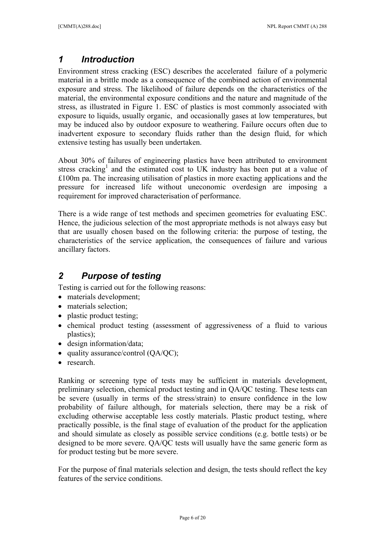### *1 Introduction*

Environment stress cracking (ESC) describes the accelerated failure of a polymeric material in a brittle mode as a consequence of the combined action of environmental exposure and stress. The likelihood of failure depends on the characteristics of the material, the environmental exposure conditions and the nature and magnitude of the stress, as illustrated in Figure 1. ESC of plastics is most commonly associated with exposure to liquids, usually organic, and occasionally gases at low temperatures, but may be induced also by outdoor exposure to weathering. Failure occurs often due to inadvertent exposure to secondary fluids rather than the design fluid, for which extensive testing has usually been undertaken.

About 30% of failures of engineering plastics have been attributed to environment stress cracking<sup>1</sup> and the estimated cost to UK industry has been put at a value of £100m pa. The increasing utilisation of plastics in more exacting applications and the pressure for increased life without uneconomic overdesign are imposing a requirement for improved characterisation of performance.

There is a wide range of test methods and specimen geometries for evaluating ESC. Hence, the judicious selection of the most appropriate methods is not always easy but that are usually chosen based on the following criteria: the purpose of testing, the characteristics of the service application, the consequences of failure and various ancillary factors.

### *2 Purpose of testing*

Testing is carried out for the following reasons:

- materials development;
- materials selection;
- plastic product testing:
- chemical product testing (assessment of aggressiveness of a fluid to various plastics);
- design information/data;
- quality assurance/control (OA/OC);
- research.

Ranking or screening type of tests may be sufficient in materials development, preliminary selection, chemical product testing and in QA/QC testing. These tests can be severe (usually in terms of the stress/strain) to ensure confidence in the low probability of failure although, for materials selection, there may be a risk of excluding otherwise acceptable less costly materials. Plastic product testing, where practically possible, is the final stage of evaluation of the product for the application and should simulate as closely as possible service conditions (e.g. bottle tests) or be designed to be more severe. QA/QC tests will usually have the same generic form as for product testing but be more severe.

For the purpose of final materials selection and design, the tests should reflect the key features of the service conditions.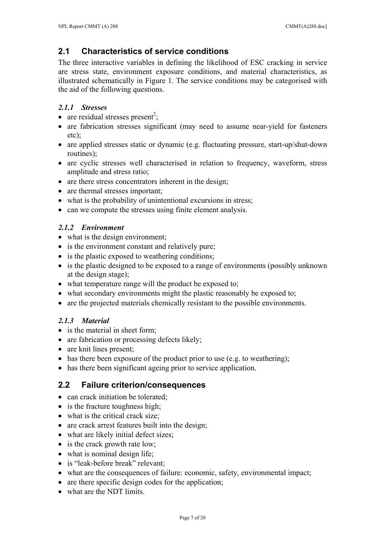### **2.1 Characteristics of service conditions**

The three interactive variables in defining the likelihood of ESC cracking in service are stress state, environment exposure conditions, and material characteristics, as illustrated schematically in Figure 1. The service conditions may be categorised with the aid of the following questions.

#### *2.1.1 Stresses*

- are residual stresses present<sup>2</sup>;
- are fabrication stresses significant (may need to assume near-yield for fasteners etc);
- are applied stresses static or dynamic (e.g. fluctuating pressure, start-up/shut-down routines);
- are cyclic stresses well characterised in relation to frequency, waveform, stress amplitude and stress ratio;
- are there stress concentrators inherent in the design;
- are thermal stresses important;
- what is the probability of unintentional excursions in stress;
- can we compute the stresses using finite element analysis.

#### *2.1.2 Environment*

- what is the design environment:
- is the environment constant and relatively pure;
- is the plastic exposed to weathering conditions;
- is the plastic designed to be exposed to a range of environments (possibly unknown at the design stage);
- what temperature range will the product be exposed to;
- what secondary environments might the plastic reasonably be exposed to;
- are the projected materials chemically resistant to the possible environments.

#### *2.1.3 Material*

- is the material in sheet form;
- are fabrication or processing defects likely;
- are knit lines present;
- has there been exposure of the product prior to use (e.g. to weathering);
- has there been significant ageing prior to service application.

#### **2.2 Failure criterion/consequences**

- can crack initiation be tolerated;
- is the fracture toughness high;
- what is the critical crack size;
- are crack arrest features built into the design;
- what are likely initial defect sizes;
- is the crack growth rate low;
- what is nominal design life;
- is "leak-before break" relevant:
- what are the consequences of failure: economic, safety, environmental impact;
- are there specific design codes for the application;
- what are the NDT limits.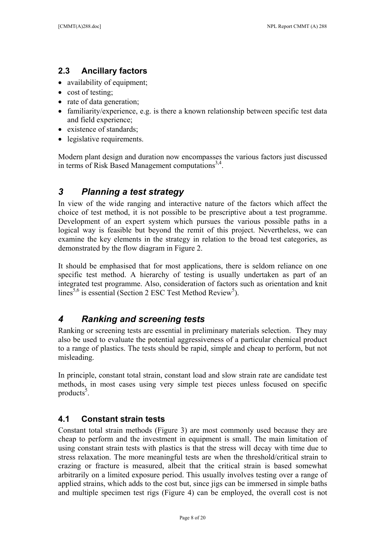### **2.3 Ancillary factors**

- availability of equipment;
- cost of testing:
- rate of data generation;
- familiarity/experience, e.g. is there a known relationship between specific test data and field experience;
- existence of standards:
- legislative requirements.

Modern plant design and duration now encompasses the various factors just discussed in terms of Risk Based Management computations<sup>3,4</sup>.

### *3 Planning a test strategy*

In view of the wide ranging and interactive nature of the factors which affect the choice of test method, it is not possible to be prescriptive about a test programme. Development of an expert system which pursues the various possible paths in a logical way is feasible but beyond the remit of this project. Nevertheless, we can examine the key elements in the strategy in relation to the broad test categories, as demonstrated by the flow diagram in Figure 2.

It should be emphasised that for most applications, there is seldom reliance on one specific test method. A hierarchy of testing is usually undertaken as part of an integrated test programme. Also, consideration of factors such as orientation and knit lines<sup>5,6</sup> is essential (Section 2 ESC Test Method Review<sup>5</sup>).

### *4 Ranking and screening tests*

Ranking or screening tests are essential in preliminary materials selection. They may also be used to evaluate the potential aggressiveness of a particular chemical product to a range of plastics. The tests should be rapid, simple and cheap to perform, but not misleading.

In principle, constant total strain, constant load and slow strain rate are candidate test methods, in most cases using very simple test pieces unless focused on specific products<sup>5</sup>.

### **4.1 Constant strain tests**

Constant total strain methods (Figure 3) are most commonly used because they are cheap to perform and the investment in equipment is small. The main limitation of using constant strain tests with plastics is that the stress will decay with time due to stress relaxation. The more meaningful tests are when the threshold/critical strain to crazing or fracture is measured, albeit that the critical strain is based somewhat arbitrarily on a limited exposure period. This usually involves testing over a range of applied strains, which adds to the cost but, since jigs can be immersed in simple baths and multiple specimen test rigs (Figure 4) can be employed, the overall cost is not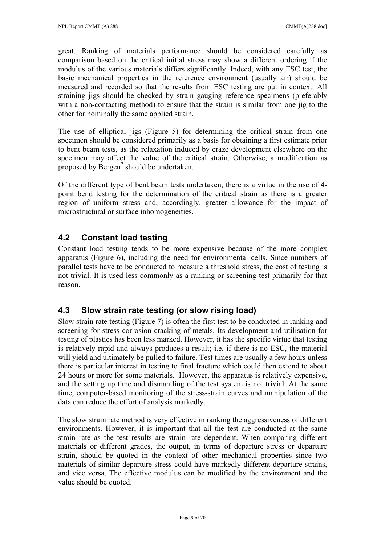great. Ranking of materials performance should be considered carefully as comparison based on the critical initial stress may show a different ordering if the modulus of the various materials differs significantly. Indeed, with any ESC test, the basic mechanical properties in the reference environment (usually air) should be measured and recorded so that the results from ESC testing are put in context. All straining jigs should be checked by strain gauging reference specimens (preferably with a non-contacting method) to ensure that the strain is similar from one jig to the other for nominally the same applied strain.

The use of elliptical jigs (Figure 5) for determining the critical strain from one specimen should be considered primarily as a basis for obtaining a first estimate prior to bent beam tests, as the relaxation induced by craze development elsewhere on the specimen may affect the value of the critical strain. Otherwise, a modification as proposed by  $\text{Bergen}^7$  should be undertaken.

Of the different type of bent beam tests undertaken, there is a virtue in the use of 4 point bend testing for the determination of the critical strain as there is a greater region of uniform stress and, accordingly, greater allowance for the impact of microstructural or surface inhomogeneities.

#### **4.2 Constant load testing**

Constant load testing tends to be more expensive because of the more complex apparatus (Figure 6), including the need for environmental cells. Since numbers of parallel tests have to be conducted to measure a threshold stress, the cost of testing is not trivial. It is used less commonly as a ranking or screening test primarily for that reason.

#### **4.3 Slow strain rate testing (or slow rising load)**

Slow strain rate testing (Figure 7) is often the first test to be conducted in ranking and screening for stress corrosion cracking of metals. Its development and utilisation for testing of plastics has been less marked. However, it has the specific virtue that testing is relatively rapid and always produces a result; i.e. if there is no ESC, the material will yield and ultimately be pulled to failure. Test times are usually a few hours unless there is particular interest in testing to final fracture which could then extend to about 24 hours or more for some materials. However, the apparatus is relatively expensive, and the setting up time and dismantling of the test system is not trivial. At the same time, computer-based monitoring of the stress-strain curves and manipulation of the data can reduce the effort of analysis markedly.

The slow strain rate method is very effective in ranking the aggressiveness of different environments. However, it is important that all the test are conducted at the same strain rate as the test results are strain rate dependent. When comparing different materials or different grades, the output, in terms of departure stress or departure strain, should be quoted in the context of other mechanical properties since two materials of similar departure stress could have markedly different departure strains, and vice versa. The effective modulus can be modified by the environment and the value should be quoted.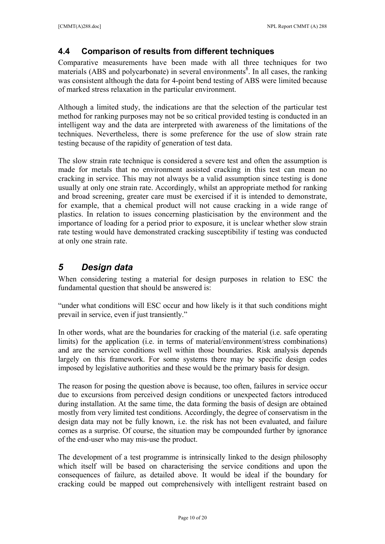### **4.4 Comparison of results from different techniques**

Comparative measurements have been made with all three techniques for two materials (ABS and polycarbonate) in several environments<sup>8</sup>. In all cases, the ranking was consistent although the data for 4-point bend testing of ABS were limited because of marked stress relaxation in the particular environment.

Although a limited study, the indications are that the selection of the particular test method for ranking purposes may not be so critical provided testing is conducted in an intelligent way and the data are interpreted with awareness of the limitations of the techniques. Nevertheless, there is some preference for the use of slow strain rate testing because of the rapidity of generation of test data.

The slow strain rate technique is considered a severe test and often the assumption is made for metals that no environment assisted cracking in this test can mean no cracking in service. This may not always be a valid assumption since testing is done usually at only one strain rate. Accordingly, whilst an appropriate method for ranking and broad screening, greater care must be exercised if it is intended to demonstrate, for example, that a chemical product will not cause cracking in a wide range of plastics. In relation to issues concerning plasticisation by the environment and the importance of loading for a period prior to exposure, it is unclear whether slow strain rate testing would have demonstrated cracking susceptibility if testing was conducted at only one strain rate.

# *5 Design data*

When considering testing a material for design purposes in relation to ESC the fundamental question that should be answered is:

"under what conditions will ESC occur and how likely is it that such conditions might prevail in service, even if just transiently."

In other words, what are the boundaries for cracking of the material (i.e. safe operating limits) for the application (i.e. in terms of material/environment/stress combinations) and are the service conditions well within those boundaries. Risk analysis depends largely on this framework. For some systems there may be specific design codes imposed by legislative authorities and these would be the primary basis for design.

The reason for posing the question above is because, too often, failures in service occur due to excursions from perceived design conditions or unexpected factors introduced during installation. At the same time, the data forming the basis of design are obtained mostly from very limited test conditions. Accordingly, the degree of conservatism in the design data may not be fully known, i.e. the risk has not been evaluated, and failure comes as a surprise. Of course, the situation may be compounded further by ignorance of the end-user who may mis-use the product.

The development of a test programme is intrinsically linked to the design philosophy which itself will be based on characterising the service conditions and upon the consequences of failure, as detailed above. It would be ideal if the boundary for cracking could be mapped out comprehensively with intelligent restraint based on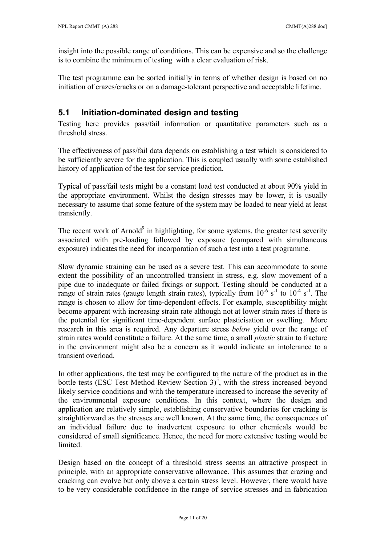insight into the possible range of conditions. This can be expensive and so the challenge is to combine the minimum of testing with a clear evaluation of risk.

The test programme can be sorted initially in terms of whether design is based on no initiation of crazes/cracks or on a damage-tolerant perspective and acceptable lifetime.

#### **5.1 Initiation-dominated design and testing**

Testing here provides pass/fail information or quantitative parameters such as a threshold stress.

The effectiveness of pass/fail data depends on establishing a test which is considered to be sufficiently severe for the application. This is coupled usually with some established history of application of the test for service prediction.

Typical of pass/fail tests might be a constant load test conducted at about 90% yield in the appropriate environment. Whilst the design stresses may be lower, it is usually necessary to assume that some feature of the system may be loaded to near yield at least transiently.

The recent work of Arnold $9$  in highlighting, for some systems, the greater test severity associated with pre-loading followed by exposure (compared with simultaneous exposure) indicates the need for incorporation of such a test into a test programme.

Slow dynamic straining can be used as a severe test. This can accommodate to some extent the possibility of an uncontrolled transient in stress, e.g. slow movement of a pipe due to inadequate or failed fixings or support. Testing should be conducted at a range of strain rates (gauge length strain rates), typically from  $10^{-6}$  s<sup>-1</sup> to  $10^{-4}$  s<sup>-1</sup>. The range is chosen to allow for time-dependent effects. For example, susceptibility might become apparent with increasing strain rate although not at lower strain rates if there is the potential for significant time-dependent surface plasticisation or swelling. More research in this area is required. Any departure stress *below* yield over the range of strain rates would constitute a failure. At the same time, a small *plastic* strain to fracture in the environment might also be a concern as it would indicate an intolerance to a transient overload.

In other applications, the test may be configured to the nature of the product as in the bottle tests (ESC Test Method Review Section  $3<sup>5</sup>$ , with the stress increased beyond likely service conditions and with the temperature increased to increase the severity of the environmental exposure conditions. In this context, where the design and application are relatively simple, establishing conservative boundaries for cracking is straightforward as the stresses are well known. At the same time, the consequences of an individual failure due to inadvertent exposure to other chemicals would be considered of small significance. Hence, the need for more extensive testing would be limited.

Design based on the concept of a threshold stress seems an attractive prospect in principle, with an appropriate conservative allowance. This assumes that crazing and cracking can evolve but only above a certain stress level. However, there would have to be very considerable confidence in the range of service stresses and in fabrication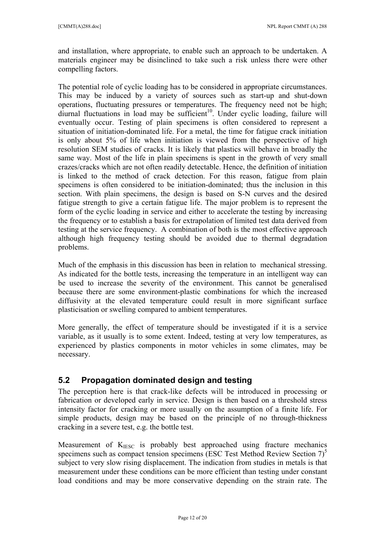and installation, where appropriate, to enable such an approach to be undertaken. A materials engineer may be disinclined to take such a risk unless there were other compelling factors.

The potential role of cyclic loading has to be considered in appropriate circumstances. This may be induced by a variety of sources such as start-up and shut-down operations, fluctuating pressures or temperatures. The frequency need not be high;  $\frac{1}{2}$  diurnal fluctuations in load may be sufficient<sup>10</sup>. Under cyclic loading, failure will eventually occur. Testing of plain specimens is often considered to represent a situation of initiation-dominated life. For a metal, the time for fatigue crack initiation is only about 5% of life when initiation is viewed from the perspective of high resolution SEM studies of cracks. It is likely that plastics will behave in broadly the same way. Most of the life in plain specimens is spent in the growth of very small crazes/cracks which are not often readily detectable. Hence, the definition of initiation is linked to the method of crack detection. For this reason, fatigue from plain specimens is often considered to be initiation-dominated; thus the inclusion in this section. With plain specimens, the design is based on S-N curves and the desired fatigue strength to give a certain fatigue life. The major problem is to represent the form of the cyclic loading in service and either to accelerate the testing by increasing the frequency or to establish a basis for extrapolation of limited test data derived from testing at the service frequency. A combination of both is the most effective approach although high frequency testing should be avoided due to thermal degradation problems.

Much of the emphasis in this discussion has been in relation to mechanical stressing. As indicated for the bottle tests, increasing the temperature in an intelligent way can be used to increase the severity of the environment. This cannot be generalised because there are some environment-plastic combinations for which the increased diffusivity at the elevated temperature could result in more significant surface plasticisation or swelling compared to ambient temperatures.

More generally, the effect of temperature should be investigated if it is a service variable, as it usually is to some extent. Indeed, testing at very low temperatures, as experienced by plastics components in motor vehicles in some climates, may be necessary.

### **5.2 Propagation dominated design and testing**

The perception here is that crack-like defects will be introduced in processing or fabrication or developed early in service. Design is then based on a threshold stress intensity factor for cracking or more usually on the assumption of a finite life. For simple products, design may be based on the principle of no through-thickness cracking in a severe test, e.g. the bottle test.

Measurement of  $K<sub>IESC</sub>$  is probably best approached using fracture mechanics specimens such as compact tension specimens (ESC Test Method Review Section  $7)^5$ subject to very slow rising displacement. The indication from studies in metals is that measurement under these conditions can be more efficient than testing under constant load conditions and may be more conservative depending on the strain rate. The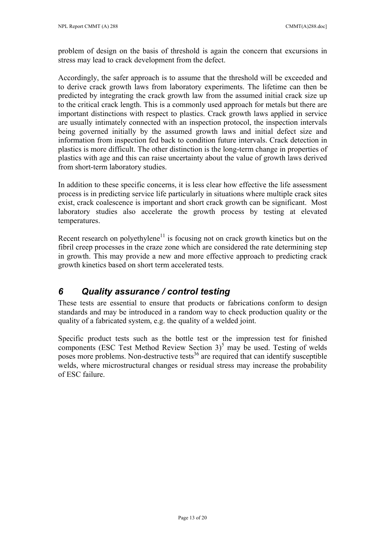problem of design on the basis of threshold is again the concern that excursions in stress may lead to crack development from the defect.

Accordingly, the safer approach is to assume that the threshold will be exceeded and to derive crack growth laws from laboratory experiments. The lifetime can then be predicted by integrating the crack growth law from the assumed initial crack size up to the critical crack length. This is a commonly used approach for metals but there are important distinctions with respect to plastics. Crack growth laws applied in service are usually intimately connected with an inspection protocol, the inspection intervals being governed initially by the assumed growth laws and initial defect size and information from inspection fed back to condition future intervals. Crack detection in plastics is more difficult. The other distinction is the long-term change in properties of plastics with age and this can raise uncertainty about the value of growth laws derived from short-term laboratory studies.

In addition to these specific concerns, it is less clear how effective the life assessment process is in predicting service life particularly in situations where multiple crack sites exist, crack coalescence is important and short crack growth can be significant. Most laboratory studies also accelerate the growth process by testing at elevated temperatures.

Recent research on polyethylene<sup>11</sup> is focusing not on crack growth kinetics but on the fibril creep processes in the craze zone which are considered the rate determining step in growth. This may provide a new and more effective approach to predicting crack growth kinetics based on short term accelerated tests.

# *6 Quality assurance / control testing*

These tests are essential to ensure that products or fabrications conform to design standards and may be introduced in a random way to check production quality or the quality of a fabricated system, e.g. the quality of a welded joint.

Specific product tests such as the bottle test or the impression test for finished components (ESC Test Method Review Section  $3<sup>5</sup>$  may be used. Testing of welds poses more problems. Non-destructive tests<sup>36</sup> are required that can identify susceptible welds, where microstructural changes or residual stress may increase the probability of ESC failure.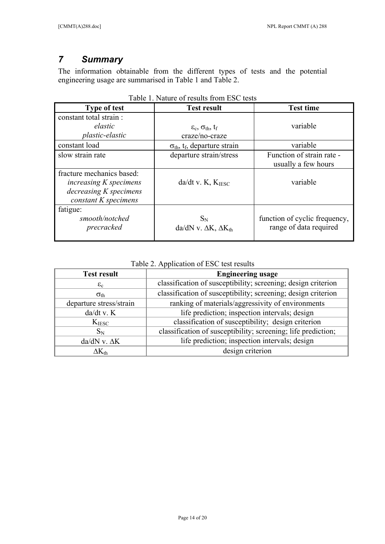# *7 Summary*

The information obtainable from the different types of tests and the potential engineering usage are summarised in Table 1 and Table 2.

| Type of test                                                                                          | <b>Test result</b>                                         | <b>Test time</b>                                        |
|-------------------------------------------------------------------------------------------------------|------------------------------------------------------------|---------------------------------------------------------|
| constant total strain :<br>elastic<br>plastic-elastic                                                 | $\epsilon_{c}$ , $\sigma_{th}$ , $t_{f}$<br>craze/no-craze | variable                                                |
| constant load                                                                                         | $\sigma_{th}$ , t <sub>f</sub> , departure strain          | variable                                                |
| slow strain rate                                                                                      | departure strain/stress                                    | Function of strain rate -<br>usually a few hours        |
| fracture mechanics based:<br>increasing K specimens<br>decreasing K specimens<br>constant K specimens | $da/dt$ v. K, $K_{\text{IESC}}$                            | variable                                                |
| fatigue:<br>smooth/notched<br>precracked                                                              | $S_N$<br>$da/dN$ v. $\Delta K$ , $\Delta K$ <sub>th</sub>  | function of cyclic frequency,<br>range of data required |

#### Table 2. Application of ESC test results

| <b>Test result</b>       | <b>Engineering usage</b>                                      |  |
|--------------------------|---------------------------------------------------------------|--|
| $\varepsilon_{\rm c}$    | classification of susceptibility; screening; design criterion |  |
| $\sigma_{\text{th}}$     | classification of susceptibility; screening; design criterion |  |
| departure stress/strain  | ranking of materials/aggressivity of environments             |  |
| $da/dt$ v. $K$           | life prediction; inspection intervals; design                 |  |
| $K_{IESC}$               | classification of susceptibility; design criterion            |  |
| $S_N$                    | classification of susceptibility; screening; life prediction; |  |
| $da/dN v. \Delta K$      | life prediction; inspection intervals; design                 |  |
| $\Delta\rm{K}_{\rm{th}}$ | design criterion                                              |  |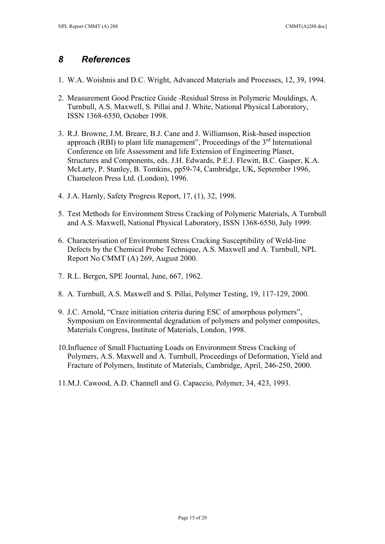### *8 References*

- 1. W.A. Woishnis and D.C. Wright, Advanced Materials and Processes, 12, 39, 1994.
- 2. Measurement Good Practice Guide -Residual Stress in Polymeric Mouldings, A. Turnbull, A.S. Maxwell, S. Pillai and J. White, National Physical Laboratory, ISSN 1368-6550, October 1998.
- 3. R.J. Browne, J.M. Breare, B.J. Cane and J. Williamson, Risk-based inspection approach (RBI) to plant life management", Proceedings of the  $3<sup>rd</sup>$  International Conference on life Assessment and life Extension of Engineering Planet, Structures and Components, eds. J.H. Edwards, P.E.J. Flewitt, B.C. Gasper, K.A. McLarty, P. Stanley, B. Tomkins, pp59-74, Cambridge, UK, September 1996, Chameleon Press Ltd. (London), 1996.
- 4. J.A. Harnly, Safety Progress Report, 17, (1), 32, 1998.
- 5. Test Methods for Environment Stress Cracking of Polymeric Materials, A Turnbull and A.S. Maxwell, National Physical Laboratory, ISSN 1368-6550, July 1999.
- 6. Characterisation of Environment Stress Cracking Susceptibility of Weld-line Defects by the Chemical Probe Technique, A.S. Maxwell and A. Turnbull, NPL Report No CMMT (A) 269, August 2000.
- 7. R.L. Bergen, SPE Journal, June, 667, 1962.
- 8. A. Turnbull, A.S. Maxwell and S. Pillai, Polymer Testing, 19, 117-129, 2000.
- 9. J.C. Arnold, "Craze initiation criteria during ESC of amorphous polymers", Symposium on Environmental degradation of polymers and polymer composites, Materials Congress, Institute of Materials, London, 1998.
- 10.Influence of Small Fluctuating Loads on Environment Stress Cracking of Polymers, A.S. Maxwell and A. Turnbull, Proceedings of Deformation, Yield and Fracture of Polymers, Institute of Materials, Cambridge, April, 246-250, 2000.
- 11.M.J. Cawood, A.D. Channell and G. Capaccio, Polymer, 34, 423, 1993.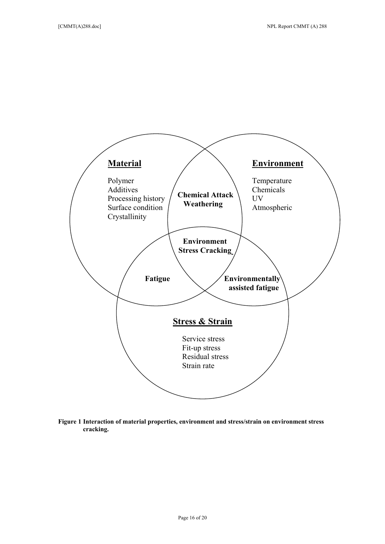

**Figure 1 Interaction of material properties, environment and stress/strain on environment stress cracking.**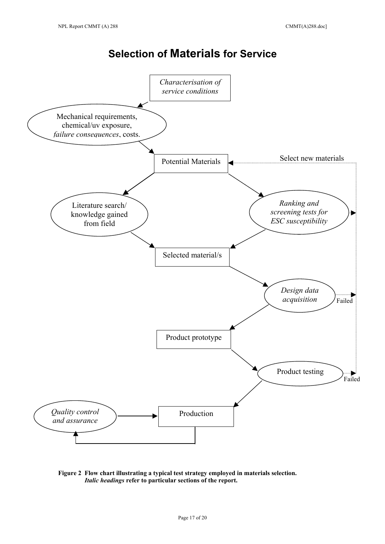# **Selection of Materials for Service**



**Figure 2 Flow chart illustrating a typical test strategy employed in materials selection.** *Italic headings* **refer to particular sections of the report.**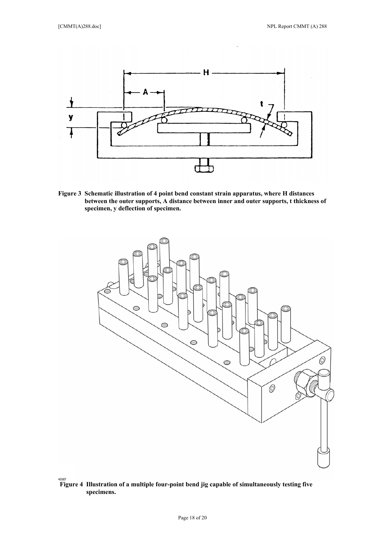

**Figure 3 Schematic illustration of 4 point bend constant strain apparatus, where H distances between the outer supports, A distance between inner and outer supports, t thickness of specimen, y deflection of specimen.** 



 **Figure 4 Illustration of a multiple four-point bend jig capable of simultaneously testing five specimens.**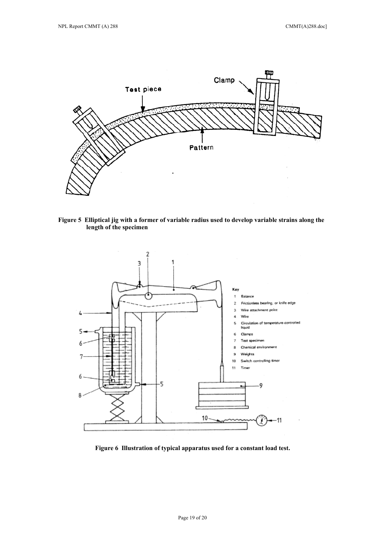

**Figure 5 Elliptical jig with a former of variable radius used to develop variable strains along the length of the specimen** 



**Figure 6 Illustration of typical apparatus used for a constant load test.**